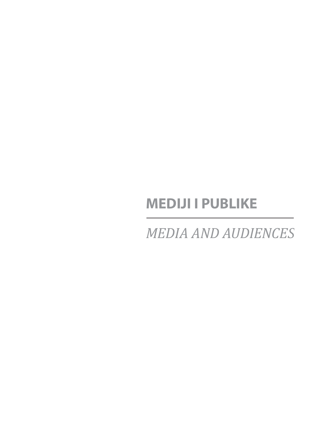# **MEDIJI I PUBLIKE**

*MEDIA AND AUDIENCES*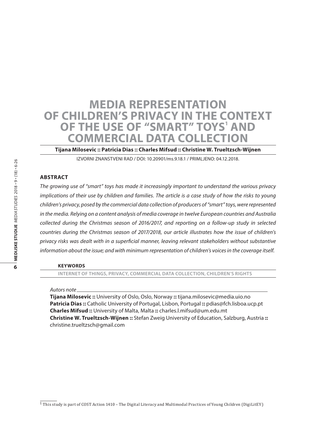# **Media Representation of Children's Privacy in the Context OF THE USE OF "SMART" TOYS' AND Commercial Data Collection**

**Tijana Milosevic :: Patricia Dias :: Charles Mifsud :: Christine W. Trueltzsch-Wijnen**

IZVORNI ZNANSTVENI RAD / DOI: 10.20901/ms.9.18.1 / PRIMLJENO: 04.12.2018.

#### **Abstract**

*The growing use of "smart" toys has made it increasingly important to understand the various privacy implications of their use by children and families. The article is a case study of how the risks to young children's privacy, posed by the commercial data collection of producers of "smart" toys, were represented in the media. Relying on a content analysis of media coverage in twelve European countries and Australia collected during the Christmas season of 2016/2017, and reporting on a follow-up study in selected countries during the Christmas season of 2017/2018, our article illustrates how the issue of children's privacy risks was dealt with in a superficial manner, leaving relevant stakeholders without substantive information about the issue; and with minimum representation of children's voices in the coverage itself.*

#### **Keywords**

**internet of things, privacy, commercial data collection, children's rights** 

#### *Autors note*

**Tijana Milosevic ::** University of Oslo, Oslo, Norway **::** tijana.milosevic@media.uio.no **Patricia Dias ::** Catholic University of Portugal, Lisbon, Portugal **::** pdias@fch.lisboa.ucp.pt **Charles Mifsud ::** University of Malta, Malta **::** charles.l.mifsud@um.edu.mt **Christine W. Trueltzsch-Wijnen ::** Stefan Zweig University of Education, Salzburg, Austria **::** christine.trueltzsch@gmail.com

 $1$  This study is part of COST Action 1410 – The Digital Literacy and Multimodal Practices of Young Children (DigiLitEY)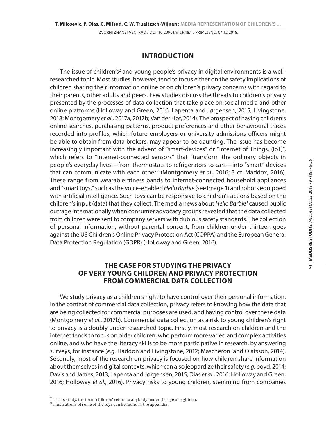#### **Introduction**

The issue of children's<sup>2</sup> and young people's privacy in digital environments is a wellresearched topic. Most studies, however, tend to focus either on the safety implications of children sharing their information online or on children's privacy concerns with regard to their parents, other adults and peers. Few studies discuss the threats to children's privacy presented by the processes of data collection that take place on social media and other online platforms (Holloway and Green, 2016; Lapenta and Jørgensen, 2015; Livingstone, 2018; Montgomery *et al.,* 2017a, 2017b; Van der Hof, 2014). The prospect of having children's online searches, purchasing patterns, product preferences and other behavioural traces recorded into profiles, which future employers or university admissions officers might be able to obtain from data brokers, may appear to be daunting. The issue has become increasingly important with the advent of "smart-devices" or "Internet of Things, (IoT)", which refers to "Internet-connected sensors" that "transform the ordinary objects in people's everyday lives—from thermostats to refrigerators to cars—into "smart" devices that can communicate with each other" (Montgomery *et al.*, 2016; 3 cf. Maddox, 2016). These range from wearable fitness bands to internet-connected household appliances and "smart toys," such as the voice-enabled *Hello Barbie* (see Image 1) and robots equipped with artificial intelligence. Such toys can be responsive to children's actions based on the children's input (data) that they collect. The media news about *Hello Barbie3* caused public outrage internationally when consumer advocacy groups revealed that the data collected from children were sent to company servers with dubious safety standards. The collection of personal information, without parental consent, from children under thirteen goes against the US Children's Online Privacy Protection Act (COPPA) and the European General Data Protection Regulation (GDPR) (Holloway and Green, 2016).

# **The case for studying the privacy of very young children and privacy protection from commercial data collection**

We study privacy as a children's right to have control over their personal information. In the context of commercial data collection, privacy refers to knowing how the data that are being collected for commercial purposes are used, and having control over these data (Montgomery *et al.,* 2017b). Commercial data collection as a risk to young children's right to privacy is a doubly under-researched topic. Firstly, most research on children and the internet tends to focus on older children, who perform more varied and complex activities online, and who have the literacy skills to be more participative in research, by answering surveys, for instance (*e.g.* Haddon and Livingstone, 2012; Mascheroni and Olafsson, 2014). Secondly, most of the research on privacy is focused on how children share information about themselves in digital contexts, which can also jeopardize their safety (*e.g.* boyd, 2014; Davis and James, 2013; Lapenta and Jørgensen, 2015; Dias *et al.*, 2016; Holloway and Green, 2016; Holloway *et al.,* 2016). Privacy risks to young children, stemming from companies

 $\frac{2}{2}$  In this study, the term 'children' refers to anybody under the age of eighteen.

<sup>3</sup> Illustrations of some of the toys can be found in the appendix.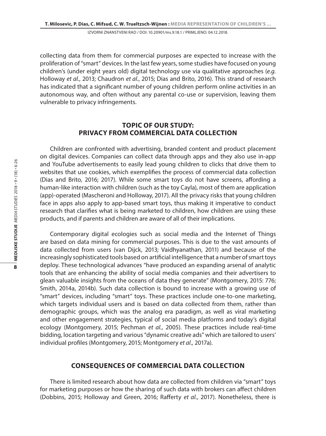collecting data from them for commercial purposes are expected to increase with the proliferation of "smart" devices. In the last few years, some studies have focused on young children's (under eight years old) digital technology use via qualitative approaches (*e.g.* Holloway *et al.*, 2013; Chaudron *et al.*, 2015; Dias and Brito, 2016). This strand of research has indicated that a significant number of young children perform online activities in an autonomous way, and often without any parental co-use or supervision, leaving them vulnerable to privacy infringements.

#### **Topic of our study: Privacy from commercial data collection**

Children are confronted with advertising, branded content and product placement on digital devices. Companies can collect data through apps and they also use in-app and YouTube advertisements to easily lead young children to clicks that drive them to websites that use cookies, which exemplifies the process of commercial data collection (Dias and Brito, 2016; 2017). While some smart toys do not have screens, affording a human-like interaction with children (such as the toy Cayla), most of them are application (app)-operated (Mascheroni and Holloway, 2017). All the privacy risks that young children face in apps also apply to app-based smart toys, thus making it imperative to conduct research that clarifies what is being marketed to children, how children are using these products, and if parents and children are aware of all of their implications.

Contemporary digital ecologies such as social media and the Internet of Things are based on data mining for commercial purposes. This is due to the vast amounts of data collected from users (van Dijck, 2013; Vaidhyanathan, 2011) and because of the increasingly sophisticated tools based on artificial intelligence that a number of smart toys deploy. These technological advances "have produced an expanding arsenal of analytic tools that are enhancing the ability of social media companies and their advertisers to glean valuable insights from the oceans of data they generate" (Montgomery, 2015: 776; Smith, 2014a, 2014b). Such data collection is bound to increase with a growing use of "smart" devices, including "smart" toys. These practices include one-to-one marketing, which targets individual users and is based on data collected from them, rather than demographic groups, which was the analog era paradigm, as well as viral marketing and other engagement strategies, typical of social media platforms and today's digital ecology (Montgomery, 2015; Pechman *et al.*, 2005). These practices include real-time bidding, location targeting and various "dynamic creative ads" which are tailored to users' individual profiles (Montgomery, 2015; Montgomery *et al.,* 2017a).

#### **Consequences of commercial data collection**

There is limited research about how data are collected from children via "smart" toys for marketing purposes or how the sharing of such data with brokers can affect children (Dobbins, 2015; Holloway and Green, 2016; Rafferty *et al.*, 2017). Nonetheless, there is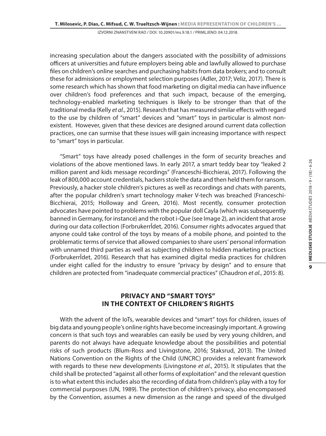increasing speculation about the dangers associated with the possibility of admissions officers at universities and future employers being able and lawfully allowed to purchase files on children's online searches and purchasing habits from data brokers; and to consult these for admissions or employment selection purposes (Adler, 2017; Veliz, 2017). There is some research which has shown that food marketing on digital media can have influence over children's food preferences and that such impact, because of the emerging, technology-enabled marketing techniques is likely to be stronger than that of the traditional media (Kelly *et al.*, 2015). Research that has measured similar effects with regard to the use by children of "smart" devices and "smart" toys in particular is almost nonexistent. However, given that these devices are designed around current data collection practices, one can surmise that these issues will gain increasing importance with respect to "smart" toys in particular.

"Smart" toys have already posed challenges in the form of security breaches and violations of the above mentioned laws. In early 2017, a smart teddy bear toy "leaked 2 million parent and kids message recordings" (Franceschi-Bicchierai, 2017). Following the leak of 800,000 account credentials, hackers stole the data and then held them for ransom. Previously, a hacker stole children's pictures as well as recordings and chats with parents, after the popular children's smart technology maker V-tech was breached (Franceschi-Bicchierai, 2015; Holloway and Green, 2016). Most recently, consumer protection advocates have pointed to problems with the popular doll Cayla (which was subsequently banned in Germany, for instance) and the robot i-Que (see Image 2), an incident that arose during our data collection (Forbrukerrĺdet, 2016). Consumer rights advocates argued that anyone could take control of the toys by means of a mobile phone, and pointed to the problematic terms of service that allowed companies to share users' personal information with unnamed third parties as well as subjecting children to hidden marketing practices (Forbrukerrĺdet, 2016). Research that has examined digital media practices for children under eight called for the industry to ensure "privacy by design" and to ensure that children are protected from "inadequate commercial practices" (Chaudron *et al.*, 2015: 8).

#### **Privacy and "smart toys" in the context of children's rights**

With the advent of the IoTs, wearable devices and "smart" toys for children, issues of big data and young people's online rights have become increasingly important. A growing concern is that such toys and wearables can easily be used by very young children, and parents do not always have adequate knowledge about the possibilities and potential risks of such products (Blum-Ross and Livingstone, 2016; Staksrud, 2013). The United Nations Convention on the Rights of the Child (UNCRC) provides a relevant framework with regards to these new developments (Livingstone *et al*., 2015). It stipulates that the child shall be protected "against all other forms of exploitation" and the relevant question is to what extent this includes also the recording of data from children's play with a toy for commercial purposes (UN, 1989). The protection of children's privacy, also encompassed by the Convention, assumes a new dimension as the range and speed of the divulged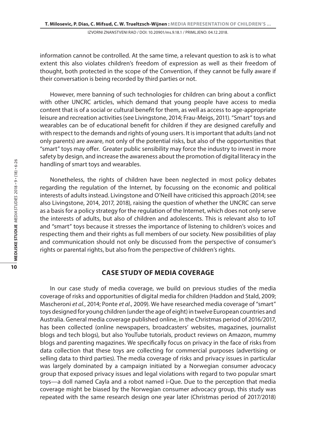information cannot be controlled. At the same time, a relevant question to ask is to what extent this also violates children's freedom of expression as well as their freedom of thought, both protected in the scope of the Convention, if they cannot be fully aware if their conversation is being recorded by third parties or not.

However, mere banning of such technologies for children can bring about a conflict with other UNCRC articles, which demand that young people have access to media content that is of a social or cultural benefit for them, as well as access to age-appropriate leisure and recreation activities (see Livingstone, 2014; Frau-Meigs, 2011). "Smart" toys and wearables can be of educational benefit for children if they are designed carefully and with respect to the demands and rights of young users. It is important that adults (and not only parents) are aware, not only of the potential risks, but also of the opportunities that "smart" toys may offer. Greater public sensibility may force the industry to invest in more safety by design, and increase the awareness about the promotion of digital literacy in the handling of smart toys and wearables.

Nonetheless, the rights of children have been neglected in most policy debates regarding the regulation of the Internet, by focussing on the economic and political interests of adults instead. Livingstone and O'Neill have criticised this approach (2014; see also Livingstone, 2014, 2017, 2018), raising the question of whether the UNCRC can serve as a basis for a policy strategy for the regulation of the Internet, which does not only serve the interests of adults, but also of children and adolescents. This is relevant also to IoT and "smart" toys because it stresses the importance of listening to children's voices and respecting them and their rights as full members of our society. New possibilities of play and communication should not only be discussed from the perspective of consumer's rights or parental rights, but also from the perspective of children's rights.

#### **Case study of media coverage**

In our case study of media coverage, we build on previous studies of the media coverage of risks and opportunities of digital media for children (Haddon and Stald, 2009; Mascheroni *et al.*, 2014; Ponte *et al.*, 2009). We have researched media coverage of "smart" toys designed for young children (under the age of eight) in twelve European countries and Australia. General media coverage published online, in the Christmas period of 2016/2017, has been collected (online newspapers, broadcasters' websites, magazines, journalist blogs and tech blogs), but also YouTube tutorials, product reviews on Amazon, mummy blogs and parenting magazines. We specifically focus on privacy in the face of risks from data collection that these toys are collecting for commercial purposes (advertising or selling data to third parties). The media coverage of risks and privacy issues in particular was largely dominated by a campaign initiated by a Norwegian consumer advocacy group that exposed privacy issues and legal violations with regard to two popular smart toys—a doll named Cayla and a robot named i-Que. Due to the perception that media coverage might be biased by the Norwegian consumer advocacy group, this study was repeated with the same research design one year later (Christmas period of 2017/2018)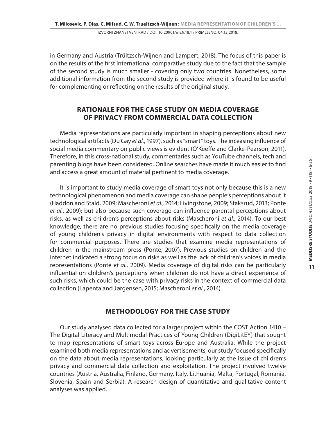in Germany and Austria (Trültzsch-Wijnen and Lampert, 2018). The focus of this paper is on the results of the first international comparative study due to the fact that the sample of the second study is much smaller - covering only two countries. Nonetheless, some additional information from the second study is provided where it is found to be useful for complementing or reflecting on the results of the original study.

# **Rationale for the case study on media coverage of privacy from commercial data collection**

Media representations are particularly important in shaping perceptions about new technological artifacts (Du Gay *et al.*, 1997), such as "smart" toys. The inceasing influence of social media commentary on public views is evident (O'Keeffe and Clarke-Pearson, 2011). Therefore, in this cross-national study, commentaries such as YouTube channels, tech and parenting blogs have been considered. Online searches have made it much easier to find and access a great amount of material pertinent to media coverage.

It is important to study media coverage of smart toys not only because this is a new technological phenomenon and media coverage can shape people's perceptions about it (Haddon and Stald, 2009; Mascheroni *et al.*, 2014; Livingstone, 2009; Staksrud, 2013; Ponte *et al.*, 2009); but also because such coverage can influence parental perceptions about risks, as well as children's perceptions about risks (Mascheroni *et al.*, 2014). To our best knowledge, there are no previous studies focusing specifically on the media coverage of young children's privacy in digital environments with respect to data collection for commercial purposes. There are studies that examine media representations of children in the mainstream press (Ponte, 2007). Previous studies on children and the internet indicated a strong focus on risks as well as the lack of children's voices in media representations (Ponte *et al.*, 2009). Media coverage of digital risks can be particularly influential on children's perceptions when children do not have a direct experience of such risks, which could be the case with privacy risks in the context of commercial data collection (Lapenta and Jørgensen, 2015; Mascheroni *et al.*, 2014).

### **Methodology for the case study**

Our study analysed data collected for a larger project within the COST Action 1410 – The Digital Literacy and Multimodal Practices of Young Children (DigiLitEY) that sought to map representations of smart toys across Europe and Australia. While the project examined both media representations and advertisements, our study focused specifically on the data about media representations, looking particularly at the issue of children's privacy and commercial data collection and exploitation. The project involved twelve countries (Austria, Australia, Finland, Germany, Italy, Lithuania, Malta, Portugal, Romania, Slovenia, Spain and Serbia). A research design of quantitative and qualitative content analyses was applied.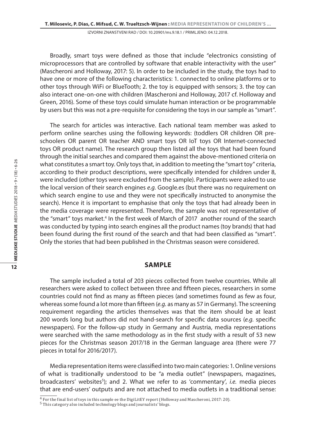Broadly, smart toys were defined as those that include "electronics consisting of microprocessors that are controlled by software that enable interactivity with the user" (Mascheroni and Holloway, 2017: 5). In order to be included in the study, the toys had to have one or more of the following characteristics: 1. connected to online platforms or to other toys through WiFi or BlueTooth; 2. the toy is equipped with sensors; 3. the toy can also interact one-on-one with children (Mascheroni and Holloway, 2017 cf. Holloway and Green, 2016). Some of these toys could simulate human interaction or be programmable by users but this was not a pre-requisite for considering the toys in our sample as "smart".

The search for articles was interactive. Each national team member was asked to perform online searches using the following keywords: (toddlers OR children OR preschoolers OR parent OR teacher AND smart toys OR IoT toys OR Internet-connected toys OR product name). The research group then listed all the toys that had been found through the initial searches and compared them against the above-mentioned criteria on what constitutes a smart toy. Only toys that, in addition to meeting the "smart toy" criteria, according to their product descriptions, were specifically intended for children under 8, were included (other toys were excluded from the sample). Participants were asked to use the local version of their search engines *e.g.* Google.es (but there was no requirement on which search engine to use and they were not specifically instructed to anonymise the search). Hence it is important to emphasise that only the toys that had already been in the media coverage were represented. Therefore, the sample was not representative of the "smart" toys market.<sup>4</sup> In the first week of March of 2017 another round of the search was conducted by typing into search engines all the product names (toy brands) that had been found during the first round of the search and that had been classified as "smart". Only the stories that had been published in the Christmas season were considered.

#### **Sample**

The sample included a total of 203 pieces collected from twelve countries. While all researchers were asked to collect between three and fifteen pieces, researchers in some countries could not find as many as fifteen pieces (and sometimes found as few as four, whereas some found a lot more than fifteen (*e.g.* as many as 57 in Germany). The screening requirement regarding the articles themselves was that the item should be at least 200 words long but authors did not hand-search for specific data sources (*e.g.* specific newspapers). For the follow-up study in Germany and Austria, media representations were searched with the same methodology as in the first study with a result of 53 new pieces for the Christmas season 2017/18 in the German language area (there were 77 pieces in total for 2016/2017).

Media representation items were classified into two main categories: 1. Online versions of what is traditionally understood to be "a media outlet" (newspapers, magazines, broadcasters' websites<sup>5</sup>); and 2. What we refer to as 'commentary', *i.e.* media pieces that are end-users' outputs and are not attached to media outlets in a traditional sense:

 $\overline{4}$  For the final list of toys in this sample ee the DigiLitEY report (Holloway and Mascheroni, 2017: 20).

<sup>5</sup> This category also included technology blogs and journalists' blogs.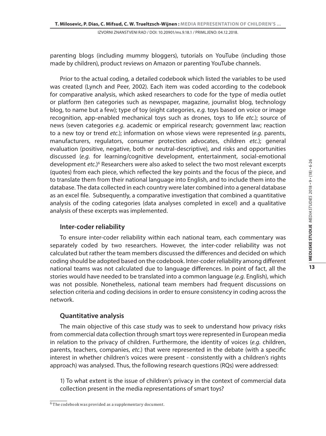parenting blogs (including mummy bloggers), tutorials on YouTube (including those made by children), product reviews on Amazon or parenting YouTube channels.

Prior to the actual coding, a detailed codebook which listed the variables to be used was created (Lynch and Peer, 2002). Each item was coded according to the codebook for comparative analysis, which asked researchers to code for the type of media outlet or platform (ten categories such as newspaper, magazine, journalist blog, technology blog, to name but a few); type of toy (eight categories, *e.g.* toys based on voice or image recognition, app-enabled mechanical toys such as drones, toys to life *etc.*); source of news (seven categories *e.g.* academic or empirical research; government law; reaction to a new toy or trend *etc*.); information on whose views were represented (*e.g.* parents, manufacturers, regulators, consumer protection advocates, children *etc*.); general evaluation (positive, negative, both or neutral-descriptive), and risks and opportunities discussed (*e.g.* for learning/cognitive development, entertainment, social-emotional development etc.)<sup>6</sup> Researchers were also asked to select the two most relevant excerpts (quotes) from each piece, which reflected the key points and the focus of the piece, and to translate them from their national language into English, and to include them into the database. The data collected in each country were later combined into a general database as an excel file. Subsequently, a comparative investigation that combined a quantitative analysis of the coding categories (data analyses completed in excel) and a qualitative analysis of these excerpts was implemented.

### **Inter-coder reliability**

To ensure inter-coder reliability within each national team, each commentary was separately coded by two researchers. However, the inter-coder reliability was not calculated but rather the team members discussed the differences and decided on which coding should be adopted based on the codebook. Inter-coder reliability among different national teams was not calculated due to language differences. In point of fact, all the stories would have needed to be translated into a common language (*e.g.* English), which was not possible. Nonetheless, national team members had frequent discussions on selection criteria and coding decisions in order to ensure consistency in coding across the network.

### **Quantitative analysis**

The main objective of this case study was to seek to understand how privacy risks from commercial data collection through smart toys were represented in European media in relation to the privacy of children. Furthermore, the identity of voices (*e.g.* children, parents, teachers, companies, *etc*.) that were represented in the debate (with a specific interest in whether children's voices were present - consistently with a children's rights approach) was analysed. Thus, the following research questions (RQs) were addressed:

1) To what extent is the issue of children's privacy in the context of commercial data collection present in the media representations of smart toys?

<sup>6</sup> The codebook was provided as a supplementary document.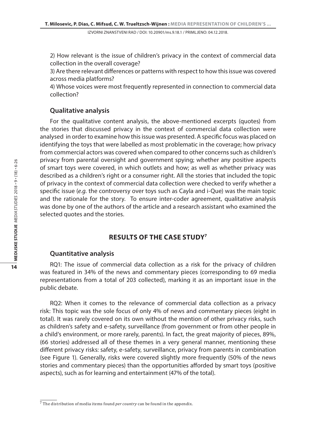2) How relevant is the issue of children's privacy in the context of commercial data collection in the overall coverage?

3) Are there relevant differences or patterns with respect to how this issue was covered across media platforms?

4) Whose voices were most frequently represented in connection to commercial data collection?

#### **Qualitative analysis**

For the qualitative content analysis, the above-mentioned excerpts (quotes) from the stories that discussed privacy in the context of commercial data collection were analysed in order to examine how this issue was presented. A specific focus was placed on identifying the toys that were labelled as most problematic in the coverage; how privacy from commercial actors was covered when compared to other concerns such as children's privacy from parental oversight and government spying; whether any positive aspects of smart toys were covered, in which outlets and how; as well as whether privacy was described as a children's right or a consumer right. All the stories that included the topic of privacy in the context of commercial data collection were checked to verify whether a specific issue (*e.g.* the controversy over toys such as Cayla and i-Que) was the main topic and the rationale for the story. To ensure inter-coder agreement, qualitative analysis was done by one of the authors of the article and a research assistant who examined the selected quotes and the stories.

## **Results of the case study7**

#### **Quantitative analysis**

RQ1: The issue of commercial data collection as a risk for the privacy of children was featured in 34% of the news and commentary pieces (corresponding to 69 media representations from a total of 203 collected), marking it as an important issue in the public debate.

RQ2: When it comes to the relevance of commercial data collection as a privacy risk: This topic was the sole focus of only 4% of news and commentary pieces (eight in total). It was rarely covered on its own without the mention of other privacy risks, such as children's safety and e-safety, surveillance (from government or from other people in a child's environment, or more rarely, parents). In fact, the great majority of pieces, 89%, (66 stories) addressed all of these themes in a very general manner, mentioning these different privacy risks: safety, e-safety, surveillance, privacy from parents in combination (see Figure 1). Generally, risks were covered slightly more frequently (50% of the news stories and commentary pieces) than the opportunities afforded by smart toys (positive aspects), such as for learning and entertainment (47% of the total).

<sup>7</sup> The distribution of media items found *per country* can be found in the appendix.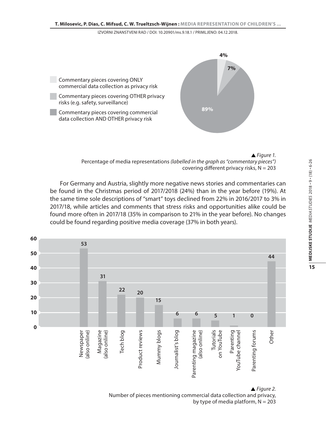

*Figure 1.*  Percentage of media representations *(labelled in the graph as "commentary pieces")* covering different privacy risks,  $N = 203$ 

For Germany and Austria, slightly more negative news stories and commentaries can be found in the Christmas period of 2017/2018 (24%) than in the year before (19%). At the same time sole descriptions of "smart" toys declined from 22% in 2016/2017 to 3% in 2017/18, while articles and comments that stress risks and opportunities alike could be found more often in 2017/18 (35% in comparison to 21% in the year before). No changes could be found regarding positive media coverage (37% in both years).



Number of pieces mentioning commercial data collection and privacy, by type of media platform,  $N = 203$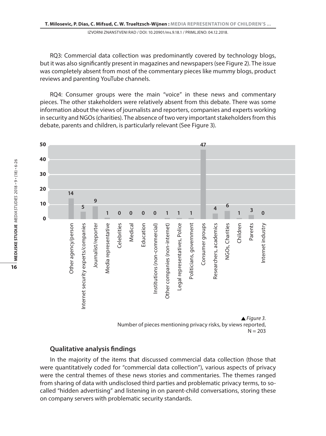RQ3: Commercial data collection was predominantly covered by technology blogs, but it was also significantly present in magazines and newspapers (see Figure 2). The issue was completely absent from most of the commentary pieces like mummy blogs, product reviews and parenting YouTube channels.

RQ4: Consumer groups were the main "voice" in these news and commentary pieces. The other stakeholders were relatively absent from this debate. There was some information about the views of journalists and reporters, companies and experts working in security and NGOs (charities). The absence of two very important stakeholders from this debate, parents and children, is particularly relevant (See Figure 3).



 $N = 203$ 

#### **Qualitative analysis findings**

In the majority of the items that discussed commercial data collection (those that were quantitatively coded for "commercial data collection"), various aspects of privacy were the central themes of these news stories and commentaries. The themes ranged from sharing of data with undisclosed third parties and problematic privacy terms, to socalled "hidden advertising" and listening in on parent-child conversations, storing these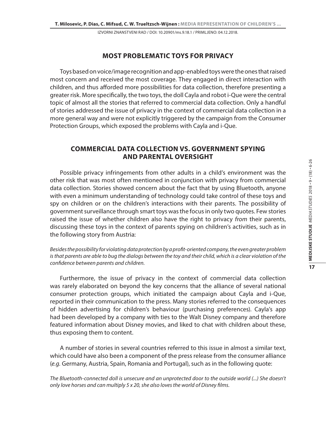#### **Most problematic toys for privacy**

Toys based on voice/image recognition and app-enabled toys were the ones that raised most concern and received the most coverage. They engaged in direct interaction with children, and thus afforded more possibilities for data collection, therefore presenting a greater risk. More specifically, the two toys, the doll Cayla and robot i-Que were the central topic of almost all the stories that referred to commercial data collection. Only a handful of stories addressed the issue of privacy in the context of commercial data collection in a more general way and were not explicitly triggered by the campaign from the Consumer Protection Groups, which exposed the problems with Cayla and i-Que.

#### **Commercial data collection vs. government spying and parental oversight**

Possible privacy infringements from other adults in a child's environment was the other risk that was most often mentioned in conjunction with privacy from commercial data collection. Stories showed concern about the fact that by using Bluetooth, anyone with even a minimum understanding of technology could take control of these toys and spy on children or on the children's interactions with their parents. The possibility of government surveillance through smart toys was the focus in only two quotes. Few stories raised the issue of whether children also have the right to privacy *from* their parents, discussing these toys in the context of parents spying on children's activities, such as in the following story from Austria:

*Besides the possibility for violating data protection by a profit-oriented company, the even greater problem*  is that parents are able to bug the dialogs between the toy and their child, which is a clear violation of the *confidence between parents and children.* 

Furthermore, the issue of privacy in the context of commercial data collection was rarely elaborated on beyond the key concerns that the alliance of several national consumer protection groups, which initiated the campaign about Cayla and i-Que, reported in their communication to the press. Many stories referred to the consequences of hidden advertising for children's behaviour (purchasing preferences). Cayla's app had been developed by a company with ties to the Walt Disney company and therefore featured information about Disney movies, and liked to chat with children about these, thus exposing them to content.

A number of stories in several countries referred to this issue in almost a similar text, which could have also been a component of the press release from the consumer alliance (*e.g.* Germany, Austria, Spain, Romania and Portugal), such as in the following quote:

*The Bluetooth-connected doll is unsecure and an unprotected door to the outside world (...) She doesn't only love horses and can multiply 5 x 20, she also loves the world of Disney films.*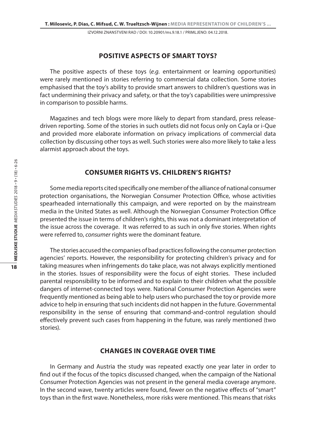#### **Positive aspects of smart toys?**

The positive aspects of these toys (*e.g.* entertainment or learning opportunities) were rarely mentioned in stories referring to commercial data collection. Some stories emphasised that the toy's ability to provide smart answers to children's questions was in fact undermining their privacy and safety, or that the toy's capabilities were unimpressive in comparison to possible harms.

Magazines and tech blogs were more likely to depart from standard, press releasedriven reporting. Some of the stories in such outlets did not focus only on Cayla or i-Que and provided more elaborate information on privacy implications of commercial data collection by discussing other toys as well. Such stories were also more likely to take a less alarmist approach about the toys.

#### **Consumer rights vs. children's rights?**

Some media reports cited specifically one member of the alliance of national consumer protection organisations, the Norwegian Consumer Protection Office, whose activities spearheaded internationally this campaign, and were reported on by the mainstream media in the United States as well. Although the Norwegian Consumer Protection Office presented the issue in terms of children's rights, this was not a dominant interpretation of the issue across the coverage. It was referred to as such in only five stories. When rights were referred to, *consumer* rights were the dominant feature.

The stories accused the companies of bad practices following the consumer protection agencies' reports. However, the responsibility for protecting children's privacy and for taking measures when infringements do take place, was not always explicitly mentioned in the stories. Issues of responsibility were the focus of eight stories. These included parental responsibility to be informed and to explain to their children what the possible dangers of internet-connected toys were. National Consumer Protection Agencies were frequently mentioned as being able to help users who purchased the toy or provide more advice to help in ensuring that such incidents did not happen in the future. Governmental responsibility in the sense of ensuring that command-and-control regulation should effectively prevent such cases from happening in the future, was rarely mentioned (two stories).

#### **Changes in coverage over time**

In Germany and Austria the study was repeated exactly one year later in order to find out if the focus of the topics discussed changed, when the campaign of the National Consumer Protection Agencies was not present in the general media coverage anymore. In the second wave, twenty articles were found, fewer on the negative effects of "smart" toys than in the first wave. Nonetheless, more risks were mentioned. This means that risks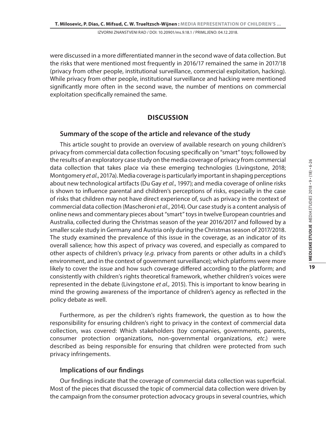were discussed in a more differentiated manner in the second wave of data collection. But the risks that were mentioned most frequently in 2016/17 remained the same in 2017/18 (privacy from other people, institutional surveillance, commercial exploitation, hacking). While privacy from other people, institutional surveillance and hacking were mentioned significantly more often in the second wave, the number of mentions on commercial exploitation specifically remained the same.

#### **Discussion**

#### **Summary of the scope of the article and relevance of the study**

This article sought to provide an overview of available research on young children's privacy from commercial data collection focusing specifically on "smart" toys; followed by the results of an exploratory case study on the media coverage of privacy from commercial data collection that takes place via these emerging technologies (Livingstone, 2018; Montgomery *et al.*, 2017a). Media coverage is particularly important in shaping perceptions about new technological artifacts (Du Gay *et al.*, 1997); and media coverage of online risks is shown to influence parental and children's perceptions of risks, especially in the case of risks that children may not have direct experience of, such as privacy in the context of commercial data collection (Mascheroni *et al.*, 2014). Our case study is a content analysis of online news and commentary pieces about "smart" toys in twelve European countries and Australia, collected during the Christmas season of the year 2016/2017 and followed by a smaller scale study in Germany and Austria only during the Christmas season of 2017/2018. The study examined the prevalence of this issue in the coverage, as an indicator of its overall salience; how this aspect of privacy was covered, and especially as compared to other aspects of children's privacy (*e.g.* privacy from parents or other adults in a child's environment, and in the context of government surveillance); which platforms were more likely to cover the issue and how such coverage differed according to the platform; and consistently with children's rights theoretical framework, whether children's voices were represented in the debate (Livingstone *et al.,* 2015). This is important to know bearing in mind the growing awareness of the importance of children's agency as reflected in the policy debate as well.

Furthermore, as per the children's rights framework, the question as to how the responsibility for ensuring children's right to privacy in the context of commercial data collection, was covered: Which stakeholders (toy companies, governments, parents, consumer protection organizations, non-governmental organizations, *etc*.) were described as being responsible for ensuring that children were protected from such privacy infringements.

#### **Implications of our findings**

Our findings indicate that the coverage of commercial data collection was superficial. Most of the pieces that discussed the topic of commercial data collection were driven by the campaign from the consumer protection advocacy groups in several countries, which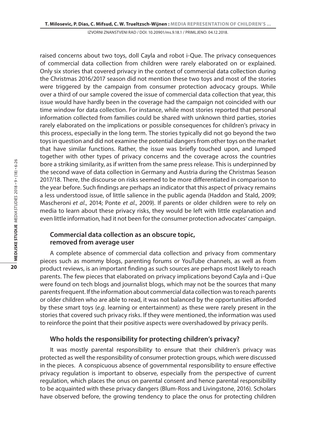raised concerns about two toys, doll Cayla and robot i-Que. The privacy consequences of commercial data collection from children were rarely elaborated on or explained. Only six stories that covered privacy in the context of commercial data collection during the Christmas 2016/2017 season did not mention these two toys and most of the stories were triggered by the campaign from consumer protection advocacy groups. While over a third of our sample covered the issue of commercial data collection that year, this issue would have hardly been in the coverage had the campaign not coincided with our time window for data collection. For instance, while most stories reported that personal information collected from families could be shared with unknown third parties, stories rarely elaborated on the implications or possible consequences for children's privacy in this process, especially in the long term. The stories typically did not go beyond the two toys in question and did not examine the potential dangers from other toys on the market that have similar functions. Rather, the issue was briefly touched upon, and lumped together with other types of privacy concerns and the coverage across the countries bore a striking similarity, as if written from the same press release. This is underpinned by the second wave of data collection in Germany and Austria during the Christmas Season 2017/18. There, the discourse on risks seemed to be more differentiated in comparison to the year before. Such findings are perhaps an indicator that this aspect of privacy remains a less understood issue, of little salience in the public agenda (Haddon and Stald, 2009; Mascheroni *et al.*, 2014; Ponte *et al.*, 2009). If parents or older children were to rely on media to learn about these privacy risks, they would be left with little explanation and even little information, had it not been for the consumer protection advocates' campaign.

#### **Commercial data collection as an obscure topic, removed from average user**

A complete absence of commercial data collection and privacy from commentary pieces such as mommy blogs, parenting forums or YouTube channels, as well as from product reviews, is an important finding as such sources are perhaps most likely to reach parents. The few pieces that elaborated on privacy implications beyond Cayla and i-Que were found on tech blogs and journalist blogs, which may not be the sources that many parents frequent. If the information about commercial data collection was to reach parents or older children who are able to read, it was not balanced by the opportunities afforded by these smart toys (*e.g.* learning or entertainment) as these were rarely present in the stories that covered such privacy risks. If they were mentioned, the information was used to reinforce the point that their positive aspects were overshadowed by privacy perils.

#### **Who holds the responsibility for protecting children's privacy?**

It was mostly parental responsibility to ensure that their children's privacy was protected as well the responsibility of consumer protection groups, which were discussed in the pieces. A conspicuous absence of governmental responsibility to ensure effective privacy regulation is important to observe, especially from the perspective of current regulation, which places the onus on parental consent and hence parental responsibility to be acquainted with these privacy dangers (Blum-Ross and Livingstone, 2016). Scholars have observed before, the growing tendency to place the onus for protecting children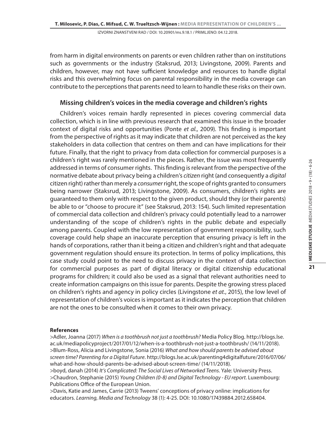from harm in digital environments on parents or even children rather than on institutions such as governments or the industry (Staksrud, 2013; Livingstone, 2009). Parents and children, however, may not have sufficient knowledge and resources to handle digital risks and this overwhelming focus on parental responsibility in the media coverage can contribute to the perceptions that parents need to learn to handle these risks on their own.

### **Missing children's voices in the media coverage and children's rights**

Children's voices remain hardly represented in pieces covering commercial data collection, which is in line with previous research that examined this issue in the broader context of digital risks and opportunities (Ponte *et al.*, 2009). This finding is important from the perspective of rights as it may indicate that children are not perceived as the key stakeholders in data collection that centres on them and can have implications for their future. Finally, that the right to privacy from data collection for commercial purposes is a children's right was rarely mentioned in the pieces. Rather, the issue was most frequently addressed in terms of consumer rights. This finding is relevant from the perspective of the normative debate about privacy being a children's *citizen* right (and consequently a *digital* citizen right) rather than merely a *consumer* right, the scope of rights granted to consumers being narrower (Staksrud, 2013; Livingstone, 2009). As consumers, children's rights are guaranteed to them only with respect to the given product, should they (or their parents) be able to or "choose to procure it" (see Staksrud, 2013: 154). Such limited representation of commercial data collection and children's privacy could potentially lead to a narrower understanding of the scope of children's rights in the public debate and especially among parents. Coupled with the low representation of government responsibility, such coverage could help shape an inaccurate perception that ensuring privacy is left in the hands of corporations, rather than it being a citizen and children's right and that adequate government regulation should ensure its protection. In terms of policy implications, this case study could point to the need to discuss privacy in the context of data collection for commercial purposes as part of digital literacy or digital citizenship educational programs for children; it could also be used as a signal that relevant authorities need to create information campaigns on this issue for parents. Despite the growing stress placed on children's rights and agency in policy circles (Livingstone *et at.*, 2015), the low level of representation of children's voices is important as it indicates the perception that children are not the ones to be consulted when it comes to their own privacy.

#### **References**

>Adler, Joanna (2017) *When is a toothbrush not just a toothbrush?* Media Policy Blog. http://blogs.lse. ac.uk/mediapolicyproject/2017/01/12/when-is-a-toothbrush-not-just-a-toothbrush/ (14/11/2018). >Blum-Ross, Alicia and Livingstone, Sonia (2016) *What and how should parents be advised about screen time? Parenting for a Digital Future*. http://blogs.lse.ac.uk/parenting4digitalfuture/2016/07/06/ what-and-how-should-parents-be-advised-about-screen-time/ (14/11/2018).

>boyd, danah (2014) *It's Complicated: The Social Lives of Networked Teens*. Yale: University Press. >Chaudron, Stephanie (2015) *Young Children (0-8) and Digital Technology - EU report*. Luxembourg: Publications Office of the European Union.

>Davis, Katie and James, Carrie (2013) Tweens' conceptions of privacy online: implications for educators. *Learning, Media and Technology* 38 (1): 4-25. DOI: 10.1080/17439884.2012.658404.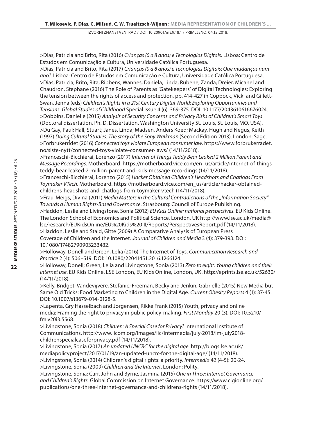>Dias, Patricia and Brito, Rita (2016) *Crianças (0 a 8 anos) e Tecnologias Digitais*. Lisboa: Centro de Estudos em Comunicação e Cultura, Universidade Católica Portuguesa.

>Dias, Patricia and Brito, Rita (2017) *Crianças (0 a 8 anos) e Tecnologias Digitais: Que mudanças num ano?*. Lisboa: Centro de Estudos em Comunicação e Cultura, Universidade Católica Portuguesa. >Dias, Patricia; Brito, Rita; Ribbens, Wannes; Daniela, Linda; Rubene, Zanda; Dreier, Micahel and Chaudron, Stephane (2016) The Role of Parents as 'Gatekeepers' of Digital Technologies: Exploring the tension between the rights of access and protection, pp. 414-427 in Coppock, Vicki and Gillett-Swan, Jenna (eds) *Children's Rights in a 21st Century Digital World: Exploring Opportunities and Tensions*. *Global Studies of Childhood* Special Issue 4 (6): 369-375. DOI: 10.1177/2043610616676024. >Dobbins, Danielle (2015) *Analysis of Security Concerns and Privacy Risks of Children's Smart Toys* (Doctoral dissertation, Ph. D. Dissertation. Washington University St. Louis, St. Louis, MO, USA). >Du Gay, Paul; Hall, Stuart; Janes, Linda; Madsen, Anders Koed; Mackay, Hugh and Negus, Keith (1997) *Doing Cultural Studies: The story of the Sony Walkman* (Second Edition 2013). London: Sage. >Forbrukerrĺdet (2016) *Connected toys violate European consumer law*. https://www.forbrukerradet. no/siste-nytt/connected-toys-violate-consumer-laws/ (14/11/2018).

>Franceschi-Bicchierai, Lorenzo (2017) *Internet of Things Teddy Bear Leaked 2 Million Parent and Message Recordings*. Motherboard. https://motherboard.vice.com/en\_us/article/internet-of-thingsteddy-bear-leaked-2-million-parent-and-kids-message-recordings (14/11/2018).

>Franceschi-Bicchierai, Lorenzo (2015) *Hacker Obtained Children's Headshots and Chatlogs From Toymaker VTech*. Motherboard. https://motherboard.vice.com/en\_us/article/hacker-obtainedchildrens-headshots-and-chatlogs-from-toymaker-vtech (14/11/2018).

>Frau-Meigs, Divina (2011) *Media Matters in the Cultural Contradictions of the "Information Society"* -*Towards a Human Rights-Based Governance*. Strasbourg: Council of Europe Publishing. >Haddon, Leslie and Livingstone, Sonia (2012) *EU Kids Online: national perspectives*. EU Kids Online. The London School of Economics and Political Science, London, UK http://www.lse.ac.uk/media@ lse/research/EUKidsOnline/EU%20Kids%20III/Reports/PerspectivesReport.pdf (14/11/2018). >Haddon, Leslie and Stald, Gitte (2009) A Comparative Analysis of European Press Coverage of Children and the Internet. *Journal of Children and Media* 3 (4): 379-393. DOI: 10.1080/17482790903233432.

>Holloway, Donell and Green, Lelia (2016) The Internet of Toys. *Communication Research and Practice* 2 (4): 506–519. DOI: 10.1080/22041451.2016.1266124.

>Holloway, Donell; Green, Lelia and Livingstone, Sonia (2013) *Zero to eight: Young children and their internet use*. EU Kids Online. LSE London, EU Kids Online, London, UK. http://eprints.lse.ac.uk/52630/ (14/11/2018).

>Kelly, Bridget; Vandevijvere, Stefanie; Freeman, Becky and Jenkin, Gabrielle (2015) New Media but Same Old Tricks: Food Marketing to Children in the Digital Age. *Current Obesity Reports* 4 (1): 37-45. DOI: 10.1007/s13679-014-0128-5.

>Lapenta, Gry Hasselbach and Jørgensen, Rikke Frank (2015) Youth, privacy and online media: Framing the right to privacy in public policy-making. *First Monday* 20 (3). DOI: 10.5210/ fm.v20i3.5568.

>Livingstone, Sonia (2018) *Children: A Special Case for Privacy?* International Institute of Communications. http://www.iicom.org/images/iic/intermedia/july-2018/im-july2018 childrenspecialcaseforprivacy.pdf (14/11/2018).

>Livingstone, Sonia (2017) *An updated UNCRC for the digital age*. http://blogs.lse.ac.uk/ mediapolicyproject/2017/01/19/an-updated-uncrc-for-the-digital-age/ (14/11/2018). >Livingstone, Sonia (2014) Children's digital rights: a priority. *Intermedia* 42 (4-5): 20-24.

>Livingstone, Sonia (2009) *Children and the Internet*. London: Polity.

>Livingstone, Sonia; Carr, John and Byrne, Jasmina (2015) *One in Three: Internet Governance and Children's Rights*. Global Commission on Internet Governance. https://www.cigionline.org/ publications/one-three-internet-governance-and-childrens-rights (14/11/2018).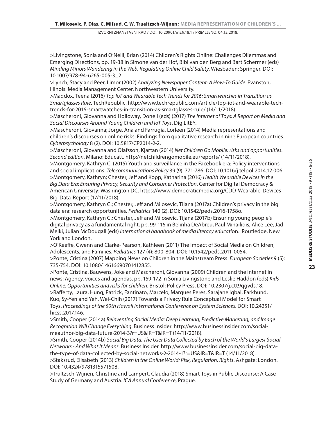>Livingstone, Sonia and O'Neill, Brian (2014) Children's Rights Online: Challenges Dilemmas and Emerging Directions, pp. 19-38 in Simone van der Hof, Bibi van den Berg and Bart Schermer (eds) *Minding Minors Wandering in the Web. Regulating Online Child Safety*. Wiesbaden: Springer. DOI: 10.1007/978-94-6265-005-3\_2.

>Lynch, Stacy and Peer, Limor (2002) *Analyzing Newspaper Content: A How-To Guide*. Evanston, Illinois: Media Management Center, Northwestern University.

>Maddox, Teena (2016) *Top IoT and Wearable Tech Trends for 2016: Smartwatches in Transition as Smartglasses Rule*. TechRepublic. http://www.techrepublic.com/article/top-iot-and-wearable-techtrends-for-2016-smartwatches-in-transition-as-smartglasses-rule/ (14/11/2018).

>Mascheroni, Giovanna and Holloway, Donell (eds) (2017) *The Internet of Toys: A Report on Media and Social Discourses Around Young Children and IoT Toys*. DigiLitEY.

>Mascheroni, Giovanna; Jorge, Ana and Farrugia, Lorleen (2014) Media representations and children's discourses on online risks: Findings from qualitative research in nine European countries. *Cyberpsychology* 8 (2). DOI: 10.5817/CP2014-2-2.

>Mascheroni, Giovanna and Ólafsson, Kjartan (2014) *Net Children Go Mobile: risks and opportunities. Second edition*. Milano: Educatt. http://netchildrengomobile.eu/reports/ (14/11/2018).

>Montgomery, Kathryn C. (2015) Youth and surveillance in the Facebook era: Policy interventions and social implications. *Telecommunications Policy* 39 (9): 771-786. DOI: 10.1016/j.telpol.2014.12.006. >Montgomery, Kathryn; Chester, Jeff and Kopp, Katharina (2016) *Health Wearable Devices in the Big Data Era: Ensuring Privacy, Security and Consumer Protection*. Center for Digital Democracy & American University: Washington DC. https://www.democraticmedia.org/CDD-Wearable-Devices-Big-Data-Report (17/11/2018).

>Montgomery, Kathryn C.; Chester, Jeff and Milosevic, Tijana (2017a) Children's privacy in the big data era: research opportunities. *Pediatrics* 140 (2). DOI: 10.1542/peds.2016-1758o.

>Montgomery, Kathryn C.; Chester, Jeff and Milosevic, Tijana (2017b) Ensuring young people's digital privacy as a fundamental right, pp. 99-116 in Belinha DeAbreu, Paul Mihailidis, Alice Lee, Jad Melki, Julian McDougall (eds) *International handbook of media literacy educati*on. Routledge, New York and London.

>O'Keeffe, Gwenn and Clarke-Pearson, Kathleen (2011) The Impact of Social Media on Children, Adolescents, and Families*. Pediatrics* 127 (4): 800-804. DOI: 10.1542/peds.2011-0054.

>Ponte, Cristina (2007) Mapping News on Children in the Mainstream Press. *European Societies* 9 (5): 735-754. DOI: 10.1080/14616690701412855.

>Ponte, Cristina, Bauwens, Joke and Mascheroni, Giovanna (2009) Children and the internet in news: Agency, voices and agendas, pp. 159-172 in Sonia Livingstone and Leslie Haddon (eds) *Kids Online: Opportunities and risks for children*. Bristol: Policy Press. DOI: 10.2307/j.ctt9qgvds.18. >Rafferty, Laura, Hung, Patrick, Fantinato, Marcelo, Marques Peres, Sarajane Iqbal, Farkhund, Kuo, Sy-Yen and Yeh, Wei-Chih (2017) Towards a Privacy Rule Conceptual Model for Smart Toys. *Proceedings of the 50th Hawaii International Conference on System Sciences*. DOI: 10.24251/ hicss.2017.146.

>Smith, Cooper (2014a) *Reinventing Social Media: Deep Learning, Predictive Marketing, and Image Recognition Will Change Everything*. Business Insider. http://www.businessinsider.com/socialmeauthor-big-data-future-2014-3?r=US&IR=T&IR=T (14/11/2018).

>Smith, Cooper (2014b) *Social Big Data: The User Data Collected by Each of the World's Largest Social Networks - And What It Means*. Business Insider. http://www.businessinsider.com/social-big-datathe-type-of-data-collected-by-social-networks-2-2014-1?r=US&IR=T&IR=T (14/11/2018). >Staksrud, Elisabeth (2013) *Children in the Online World: Risk, Regulation, Rights*. Ashgate: London.

DOI: 10.4324/9781315571508.

>Trültzsch-Wijnen, Christine and Lampert, Claudia (2018) Smart Toys in Public Discourse: A Case Study of Germany and Austria. *ICA Annual Conference*, Prague.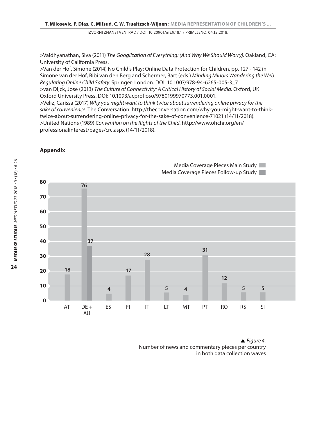>Vaidhyanathan, Siva (2011) *The Googlization of Everything: (And Why We Should Worry)*. Oakland, CA: University of California Press.

>Van der Hof, Simone (2014) No Child's Play: Online Data Protection for Children, pp. 127 - 142 in Simone van der Hof, Bibi van den Berg and Schermer, Bart (eds.) *Minding Minors Wandering the Web: Regulating Online Child Safety*. Springer: London. DOI: 10.1007/978-94-6265-005-3\_7. >van Dijck, Jose (2013) *The Culture of Connectivity: A Critical History of Social Media*. Oxford, UK: Oxford University Press. DOI: 10.1093/acprof:oso/9780199970773.001.0001. >Veliz, Carissa (2017) *Why you might want to think twice about surrendering online privacy for the sake of convenience*. The Conversation. http://theconversation.com/why-you-might-want-to-thinktwice-about-surrendering-online-privacy-for-the-sake-of-convenience-71021 (14/11/2018). >United Nations (1989) *Convention on the Rights of the Child*. http://www.ohchr.org/en/

professionalinterest/pages/crc.aspx (14/11/2018).

#### **Appendix**



Media Coverage Pieces Main Study Media Coverage Pieces Follow-up Study

*Figure 4.*  Number of news and commentary pieces per country in both data collection waves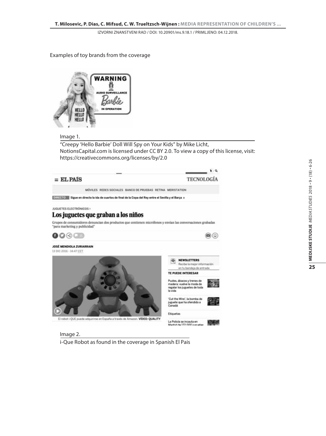Examples of toy brands from the coverage



#### Image 1.

"Creepy 'Hello Barbie' Doll Will Spy on Your Kids" by Mike Licht, NotionsCapital.com is licensed under CC BY 2.0. To view a copy of this license, visit: https://creativecommons.org/licenses/by/2.0



i-Que Robot as found in the coverage in Spanish El Pais